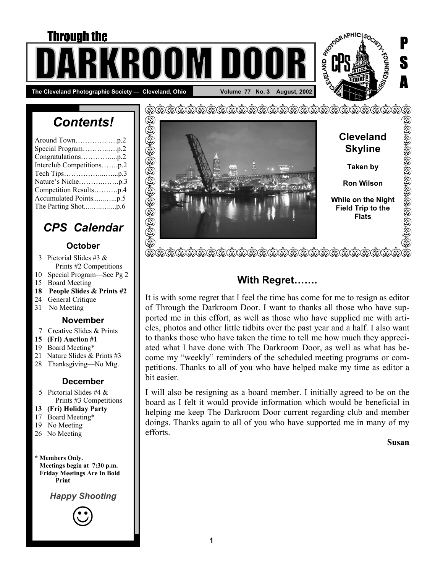# **E ODO Through the PARTAINS** The Cleveland Photographic Society — Cleveland, Ohio **No. 18 August, 2002** Volume 77 No. 3 August, 2002

# *Contents!*

| Congratulationsp.2        |
|---------------------------|
| Interclub Competitionsp.2 |
|                           |
|                           |
| Competition Resultsp.4    |
| Accumulated Pointsp.5     |
|                           |

# *CPS Calendar*

#### **October**

- 3 Pictorial Slides #3 & Prints #2 Competitions
- 10 Special Program—See Pg 2
- 15 Board Meeting
- **18 People Slides & Prints #2**
- 24 General Critique
- 31 No Meeting

#### **November**

- 7 Creative Slides & Prints
- **15 (Fri) Auction #1**
- 19 Board Meeting\*
- 21 Nature Slides & Prints #3
- 28 Thanksgiving—No Mtg.

### **December**

- 5 Pictorial Slides #4 & Prints #3 Competitions
- **13 (Fri) Holiday Party**
- 17 Board Meeting\*
- 19 No Meeting
- 26 No Meeting

**\* Members Only. Meetings begin at 7:30 p.m. Friday Meetings Are In Bold Print** 

*Happy Shooting* 





### **With Regret…….**

It is with some regret that I feel the time has come for me to resign as editor of Through the Darkroom Door. I want to thanks all those who have supported me in this effort, as well as those who have supplied me with articles, photos and other little tidbits over the past year and a half. I also want to thanks those who have taken the time to tell me how much they appreciated what I have done with The Darkroom Door, as well as what has become my "weekly" reminders of the scheduled meeting programs or competitions. Thanks to all of you who have helped make my time as editor a bit easier.

I will also be resigning as a board member. I initially agreed to be on the board as I felt it would provide information which would be beneficial in helping me keep The Darkroom Door current regarding club and member doings. Thanks again to all of you who have supported me in many of my efforts.

**Susan** 

P

S

A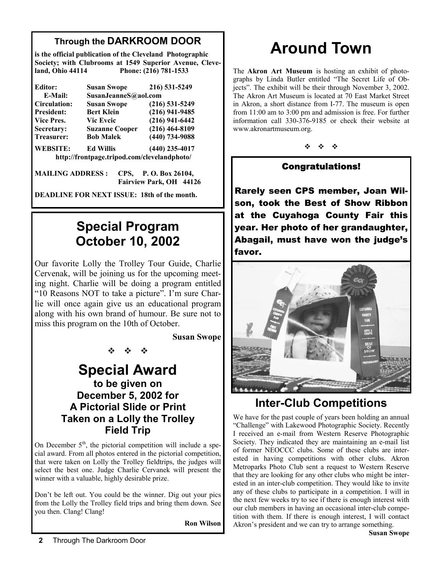### **Through the DARKROOM DOOR**

**is the official publication of the Cleveland Photographic Society; with Clubrooms at 1549 Superior Avenue, Cleveland, Ohio 44114 Phone: (216) 781-1533** 

| Editor:           | <b>Susan Swope</b>                          | 216) 531-5249    |  |  |
|-------------------|---------------------------------------------|------------------|--|--|
| E-Mail:           | SusanJeanneS@aol.com                        |                  |  |  |
| Circulation:      | <b>Susan Swope</b>                          | $(216)$ 531-5249 |  |  |
| <b>President:</b> | <b>Bert Klein</b>                           | $(216)$ 941-9485 |  |  |
| Vice Pres.        | <b>Vic Eveic</b>                            | $(216)$ 941-6442 |  |  |
| Secretary:        | <b>Suzanne Cooper</b>                       | $(216)$ 464-8109 |  |  |
| <b>Treasurer:</b> | <b>Bob Malek</b>                            | $(440)$ 734-9088 |  |  |
| <b>WEBSITE:</b>   | <b>Ed Willis</b>                            | $(440)$ 235-4017 |  |  |
|                   | http://frontpage.tripod.com/clevelandphoto/ |                  |  |  |

| MAILING ADDRESS : CPS, P.O.Box 26104, |                         |  |
|---------------------------------------|-------------------------|--|
|                                       | Fairview Park, OH 44126 |  |

**DEADLINE FOR NEXT ISSUE: 18th of the month.** 

# **Special Program October 10, 2002**

Our favorite Lolly the Trolley Tour Guide, Charlie Cervenak, will be joining us for the upcoming meeting night. Charlie will be doing a program entitled "10 Reasons NOT to take a picture". I'm sure Charlie will once again give us an educational program along with his own brand of humour. Be sure not to miss this program on the 10th of October.

**Susan Swope** 

## **Special Award to be given on December 5, 2002 for A Pictorial Slide or Print Taken on a Lolly the Trolley Field Trip**

※ ※ ※

On December  $5<sup>th</sup>$ , the pictorial competition will include a special award. From all photos entered in the pictorial competition, that were taken on Lolly the Trolley fieldtrips, the judges will select the best one. Judge Charlie Cervanek will present the winner with a valuable, highly desirable prize.

Don't be left out. You could be the winner. Dig out your pics from the Lolly the Trolley field trips and bring them down. See you then. Clang! Clang!

**Ron Wilson** 

# **Around Town**

The **Akron Art Museum** is hosting an exhibit of photographs by Linda Butler entitled "The Secret Life of Objects". The exhibit will be their through November 3, 2002. The Akron Art Museum is located at 70 East Market Street in Akron, a short distance from I-77. The museum is open from 11:00 am to 3:00 pm and admission is free. For further information call 330-376-9185 or check their website at www.akronartmuseum.org.

※ ※ ※

### Congratulations!

Rarely seen CPS member, Joan Wilson, took the Best of Show Ribbon at the Cuyahoga County Fair this year. Her photo of her grandaughter, Abagail, must have won the judge's favor.



# **Inter-Club Competitions**

We have for the past couple of years been holding an annual "Challenge" with Lakewood Photographic Society. Recently I received an e-mail from Western Reserve Photographic Society. They indicated they are maintaining an e-mail list of former NEOCCC clubs. Some of these clubs are interested in having competitions with other clubs. Akron Metroparks Photo Club sent a request to Western Reserve that they are looking for any other clubs who might be interested in an inter-club competition. They would like to invite any of these clubs to participate in a competition. I will in the next few weeks try to see if there is enough interest with our club members in having an occasional inter-club competition with them. If there is enough interest, I will contact Akron's president and we can try to arrange something.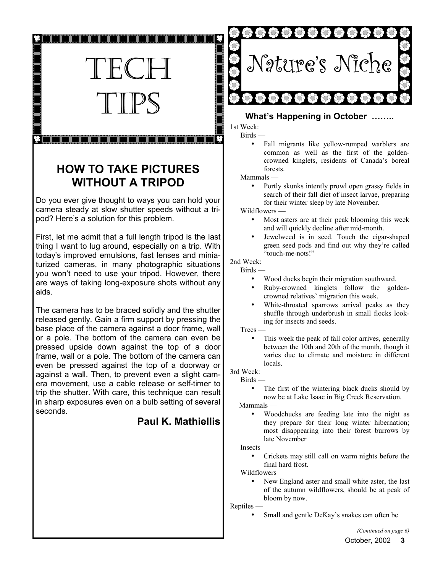

## **HOW TO TAKE PICTURES WITHOUT A TRIPOD**

Do you ever give thought to ways you can hold your camera steady at slow shutter speeds without a tripod? Here's a solution for this problem.

First, let me admit that a full length tripod is the last thing I want to lug around, especially on a trip. With today's improved emulsions, fast lenses and miniaturized cameras, in many photographic situations you won't need to use your tripod. However, there are ways of taking long-exposure shots without any aids.

The camera has to be braced solidly and the shutter released gently. Gain a firm support by pressing the base place of the camera against a door frame, wall or a pole. The bottom of the camera can even be pressed upside down against the top of a door frame, wall or a pole. The bottom of the camera can even be pressed against the top of a doorway or against a wall. Then, to prevent even a slight camera movement, use a cable release or self-timer to trip the shutter. With care, this technique can result in sharp exposures even on a bulb setting of several seconds.

### **Paul K. Mathiellis**



#### **What's Happening in October ……..**

1st Week:  $Birds$  —

> Fall migrants like yellow-rumped warblers are common as well as the first of the goldencrowned kinglets, residents of Canada's boreal forests.

Mammals —

• Portly skunks intently prowl open grassy fields in search of their fall diet of insect larvae, preparing for their winter sleep by late November.

Wildflowers —

- Most asters are at their peak blooming this week and will quickly decline after mid-month.
- Jewelweed is in seed. Touch the cigar-shaped green seed pods and find out why they're called "touch-me-nots!"

#### 2nd Week:

#### Birds —

- Wood ducks begin their migration southward.
- Ruby-crowned kinglets follow the goldencrowned relatives' migration this week.
- White-throated sparrows arrival peaks as they shuffle through underbrush in small flocks looking for insects and seeds.

Trees —

This week the peak of fall color arrives, generally between the 10th and 20th of the month, though it varies due to climate and moisture in different locals.

### 3rd Week:

 $Birds$  —

The first of the wintering black ducks should by now be at Lake Isaac in Big Creek Reservation.

Mammals —

• Woodchucks are feeding late into the night as they prepare for their long winter hibernation; most disappearing into their forest burrows by late November

Insects —

• Crickets may still call on warm nights before the final hard frost.

Wildflowers —

New England aster and small white aster, the last of the autumn wildflowers, should be at peak of bloom by now.

Reptiles —

Small and gentle DeKay's snakes can often be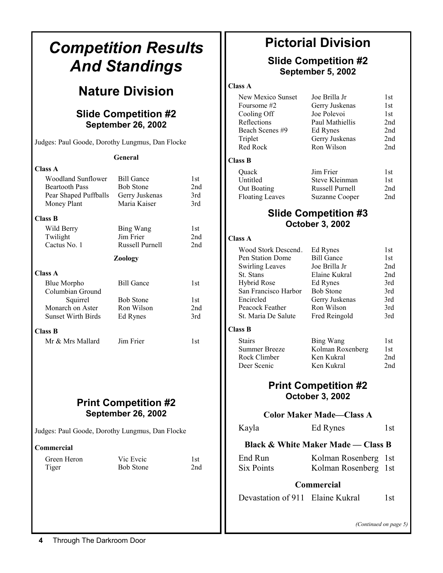| <b>Competition Results</b>                                                                                   |                                                                         |                          |                                                                                   | <b>Pictorial Division</b>                                               |                          |
|--------------------------------------------------------------------------------------------------------------|-------------------------------------------------------------------------|--------------------------|-----------------------------------------------------------------------------------|-------------------------------------------------------------------------|--------------------------|
|                                                                                                              | <b>And Standings</b>                                                    |                          | <b>Slide Competition #2</b><br>September 5, 2002                                  |                                                                         |                          |
|                                                                                                              | <b>Nature Division</b>                                                  |                          | <b>Class A</b><br>New Mexico Sunset<br>Foursome #2                                | Joe Brilla Jr                                                           | 1st<br>1st               |
|                                                                                                              | <b>Slide Competition #2</b><br><b>September 26, 2002</b>                |                          | Cooling Off<br>Reflections<br>Beach Scenes #9                                     | Gerry Juskenas<br>Joe Polevoi<br>Paul Mathiellis<br>Ed Rynes            | 1st<br>2nd<br>2nd        |
| Judges: Paul Goode, Dorothy Lungmus, Dan Flocke                                                              |                                                                         |                          | Triplet<br>Red Rock                                                               | Gerry Juskenas<br>Ron Wilson                                            | 2nd<br>2nd               |
|                                                                                                              | General                                                                 |                          | <b>Class B</b>                                                                    |                                                                         |                          |
| <b>Class A</b><br><b>Woodland Sunflower</b><br><b>Beartooth Pass</b><br>Pear Shaped Puffballs<br>Money Plant | <b>Bill Gance</b><br><b>Bob Stone</b><br>Gerry Juskenas<br>Maria Kaiser | 1st<br>2nd<br>3rd<br>3rd | Quack<br>Untitled<br>Out Boating<br><b>Floating Leaves</b>                        | Jim Frier<br>Steve Kleinman<br>Russell Purnell<br><b>Suzanne Cooper</b> | 1st<br>1st<br>2nd<br>2nd |
| <b>Class B</b>                                                                                               |                                                                         |                          |                                                                                   | <b>Slide Competition #3</b>                                             |                          |
| Wild Berry                                                                                                   | Bing Wang                                                               | 1st                      |                                                                                   | <b>October 3, 2002</b>                                                  |                          |
| Twilight                                                                                                     | Jim Frier                                                               | 2nd                      | <b>Class A</b>                                                                    |                                                                         |                          |
| Cactus No. 1                                                                                                 | Russell Purnell<br><b>Zoology</b>                                       | 2nd                      | Wood Stork Descend.<br>Pen Station Dome                                           | Ed Rynes<br><b>Bill Gance</b>                                           | 1st<br>1st               |
| <b>Class A</b><br>Blue Morpho<br>Columbian Ground                                                            | <b>Bill Gance</b>                                                       | 1st                      | <b>Swirling Leaves</b><br>St. Stans<br><b>Hybrid Rose</b><br>San Francisco Harbor | Joe Brilla Jr<br>Elaine Kukral<br>Ed Rynes<br><b>Bob Stone</b>          | 2nd<br>2nd<br>3rd<br>3rd |
| Squirrel<br>Monarch on Aster<br><b>Sunset Wirth Birds</b>                                                    | <b>Bob Stone</b><br>Ron Wilson<br>Ed Rynes                              | 1st<br>2nd<br>3rd        | Encircled<br>Peacock Feather<br>St. Maria De Salute                               | Gerry Juskenas<br>Ron Wilson<br>Fred Reingold                           | 3rd<br>3rd<br>3rd        |
| <b>Class B</b>                                                                                               |                                                                         |                          | <b>Class B</b>                                                                    |                                                                         |                          |
| Mr & Mrs Mallard                                                                                             | Jim Frier                                                               | 1st                      | <b>Stairs</b><br><b>Summer Breeze</b><br>Rock Climber<br>Deer Scenic              | <b>Bing Wang</b><br>Kolman Roxenberg<br>Ken Kukral<br>Ken Kukral        | 1st<br>1st<br>2nd<br>2nd |
| <b>Print Competition #2</b>                                                                                  |                                                                         |                          |                                                                                   | <b>Print Competition #2</b><br><b>October 3, 2002</b>                   |                          |
|                                                                                                              | <b>September 26, 2002</b>                                               |                          |                                                                                   | <b>Color Maker Made-Class A</b>                                         |                          |
| Judges: Paul Goode, Dorothy Lungmus, Dan Flocke                                                              |                                                                         |                          | Kayla                                                                             | Ed Rynes                                                                | 1st                      |
| Commercial                                                                                                   |                                                                         |                          |                                                                                   | <b>Black &amp; White Maker Made — Class B</b>                           |                          |
| Green Heron<br>Tiger                                                                                         | Vic Eveic<br><b>Bob Stone</b>                                           | 1st<br>2nd               | End Run<br><b>Six Points</b>                                                      | Kolman Rosenberg<br>Kolman Rosenberg                                    | 1st<br>1st               |
|                                                                                                              |                                                                         |                          |                                                                                   | Commercial                                                              |                          |
|                                                                                                              |                                                                         |                          | Devastation of 911 Elaine Kukral                                                  |                                                                         | 1st                      |
|                                                                                                              |                                                                         |                          |                                                                                   | (Continued on pa                                                        |                          |

1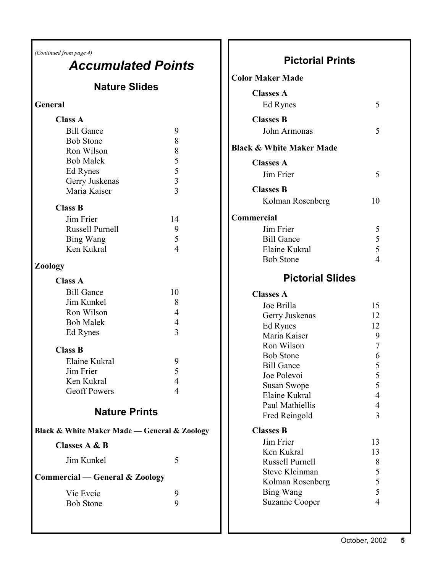*(Continued from page 4)* 

# *Accumulated Points*

## **Nature Slides**

### **General**

| <b>Class A</b>                               |                |  |  |  |
|----------------------------------------------|----------------|--|--|--|
| <b>Bill Gance</b>                            | 9              |  |  |  |
| <b>Bob Stone</b>                             | 8              |  |  |  |
| Ron Wilson                                   |                |  |  |  |
| <b>Bob Malek</b>                             | 8533           |  |  |  |
| Ed Rynes                                     |                |  |  |  |
| Gerry Juskenas                               |                |  |  |  |
| Maria Kaiser                                 |                |  |  |  |
| <b>Class B</b>                               |                |  |  |  |
| Jim Frier                                    | 14             |  |  |  |
| Russell Purnell                              | 9              |  |  |  |
| Bing Wang                                    | 5              |  |  |  |
| Ken Kukral                                   | $\overline{4}$ |  |  |  |
| Zoology                                      |                |  |  |  |
| <b>Class A</b>                               |                |  |  |  |
| <b>Bill Gance</b>                            | 10             |  |  |  |
| Jim Kunkel                                   | 8              |  |  |  |
| Ron Wilson                                   | $\overline{4}$ |  |  |  |
| <b>Bob Malek</b>                             | $\overline{4}$ |  |  |  |
| Ed Rynes                                     | 3              |  |  |  |
| <b>Class B</b>                               |                |  |  |  |
| Elaine Kukral                                | 9              |  |  |  |
| Jim Frier                                    | 5              |  |  |  |
| Ken Kukral                                   | $\overline{4}$ |  |  |  |
| <b>Geoff Powers</b>                          | 4              |  |  |  |
| <b>Nature Prints</b>                         |                |  |  |  |
|                                              |                |  |  |  |
| Black & White Maker Made - General & Zoology |                |  |  |  |
| <b>Classes A &amp; B</b>                     |                |  |  |  |
| Jim Kunkel                                   | 5              |  |  |  |
| <b>Commercial — General &amp; Zoology</b>    |                |  |  |  |
| Vic Eveic                                    | 9              |  |  |  |
| <b>Bob Stone</b>                             | 9              |  |  |  |
|                                              |                |  |  |  |
|                                              |                |  |  |  |

## **Pictorial Prints**

| <b>Color Maker Made</b>                         |                                |
|-------------------------------------------------|--------------------------------|
| <b>Classes A</b>                                |                                |
| Ed Rynes                                        | 5                              |
| <b>Classes B</b>                                |                                |
| John Armonas                                    | 5                              |
| <b>Black &amp; White Maker Made</b>             |                                |
| <b>Classes A</b>                                |                                |
| Jim Frier                                       | 5                              |
| <b>Classes B</b>                                |                                |
| Kolman Rosenberg                                | 10                             |
| <b>Commercial</b>                               |                                |
| Jim Frier                                       |                                |
| <b>Bill Gance</b><br>Elaine Kukral              |                                |
| <b>Bob Stone</b>                                | $\frac{5}{5}$ 5 5 4            |
|                                                 |                                |
| <b>Pictorial Slides</b>                         |                                |
| <b>Classes A</b>                                |                                |
| Joe Brilla                                      | 15                             |
| Gerry Juskenas                                  | 12                             |
| Ed Rynes<br>Maria Kaiser                        | 12<br>9                        |
| Ron Wilson                                      | $\overline{7}$                 |
| <b>Bob Stone</b>                                |                                |
| <b>Bill Gance</b>                               | 6 5 5 5                        |
| Joe Polevoi                                     |                                |
| <b>Susan Swope</b>                              |                                |
| Elaine Kukral                                   | 4                              |
| Paul Mathiellis                                 | 4                              |
| Fred Reingold                                   | 3                              |
| <b>Classes B</b>                                |                                |
| Jim Frier                                       | 13                             |
| Ken Kukral                                      | 13                             |
| <b>Russell Purnell</b><br><b>Steve Kleinman</b> | 8                              |
| Kolman Rosenberg                                |                                |
| <b>Bing Wang</b>                                | $\frac{5}{5}$<br>$\frac{5}{4}$ |
| <b>Suzanne Cooper</b>                           |                                |
|                                                 |                                |